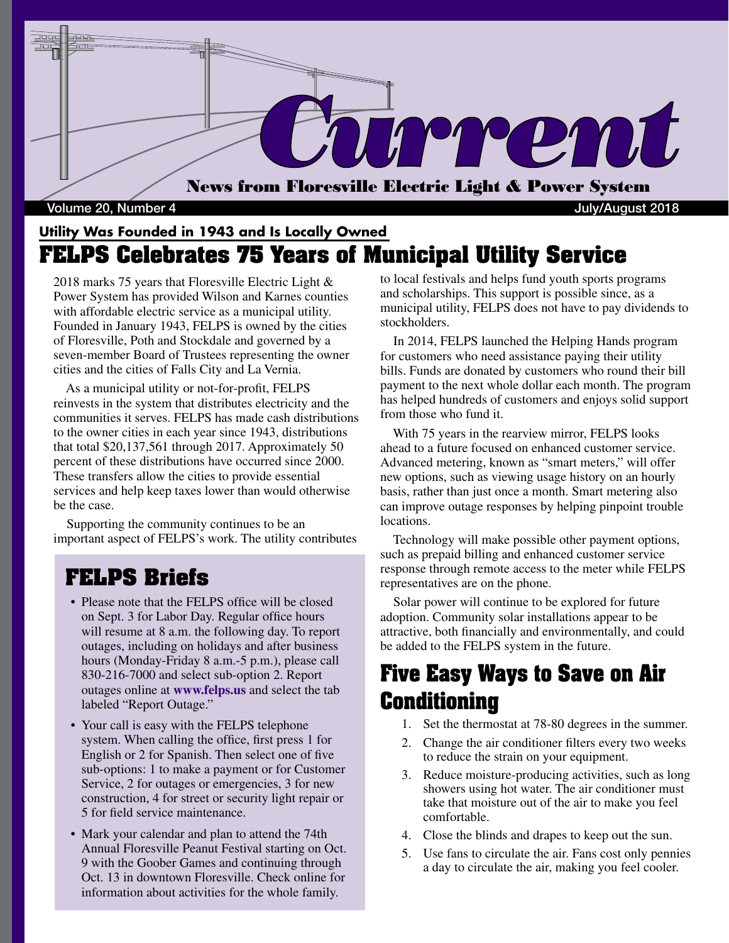

#### Volume 20, Number 4 July/August 2018

#### **Utility Was Founded in 1943 and Is Locally Owned FELPS Celebrates 75 Years of Municipal Utility Service**

2018 marks 75 years that Floresville Electric Light & Power System has provided Wilson and Karnes counties with affordable electric service as a municipal utility. Founded in January 1943, FELPS is owned by the cities of Floresville, Poth and Stockdale and governed by a seven-member Board of Trustees representing the owner cities and the cities of Falls City and La Vernia.

 As a municipal utility or not-for-profit, FELPS reinvests in the system that distributes electricity and the communities it serves. FELPS has made cash distributions to the owner cities in each year since 1943, distributions that total \$20,137,561 through 2017. Approximately 50 percent of these distributions have occurred since 2000. These transfers allow the cities to provide essential services and help keep taxes lower than would otherwise be the case.

 Supporting the community continues to be an important aspect of FELPS's work. The utility contributes

#### **FELPS Briefs**

- Please note that the FELPS office will be closed on Sept. 3 for Labor Day. Regular office hours will resume at 8 a.m. the following day. To report outages, including on holidays and after business hours (Monday-Friday 8 a.m.-5 p.m.), please call 830-216-7000 and select sub-option 2. Report outages online at **www.felps.us** and select the tab labeled "Report Outage."
- Your call is easy with the FELPS telephone system. When calling the office, first press 1 for English or 2 for Spanish. Then select one of five sub-options: 1 to make a payment or for Customer Service, 2 for outages or emergencies, 3 for new construction, 4 for street or security light repair or 5 for field service maintenance.
- Mark your calendar and plan to attend the 74th Annual Floresville Peanut Festival starting on Oct. 9 with the Goober Games and continuing through Oct. 13 in downtown Floresville. Check online for information about activities for the whole family.

to local festivals and helps fund youth sports programs and scholarships. This support is possible since, as a municipal utility, FELPS does not have to pay dividends to stockholders.

 In 2014, FELPS launched the Helping Hands program for customers who need assistance paying their utility bills. Funds are donated by customers who round their bill payment to the next whole dollar each month. The program has helped hundreds of customers and enjoys solid support from those who fund it.

 With 75 years in the rearview mirror, FELPS looks ahead to a future focused on enhanced customer service. Advanced metering, known as "smart meters," will offer new options, such as viewing usage history on an hourly basis, rather than just once a month. Smart metering also can improve outage responses by helping pinpoint trouble locations.

 Technology will make possible other payment options, such as prepaid billing and enhanced customer service response through remote access to the meter while FELPS representatives are on the phone.

 Solar power will continue to be explored for future adoption. Community solar installations appear to be attractive, both financially and environmentally, and could be added to the FELPS system in the future.

## **Five Easy Ways to Save on Air Conditioning**

- 1. Set the thermostat at 78-80 degrees in the summer.
- 2. Change the air conditioner filters every two weeks to reduce the strain on your equipment.
- 3. Reduce moisture-producing activities, such as long showers using hot water. The air conditioner must take that moisture out of the air to make you feel comfortable.
- 4. Close the blinds and drapes to keep out the sun.
- 5. Use fans to circulate the air. Fans cost only pennies a day to circulate the air, making you feel cooler.